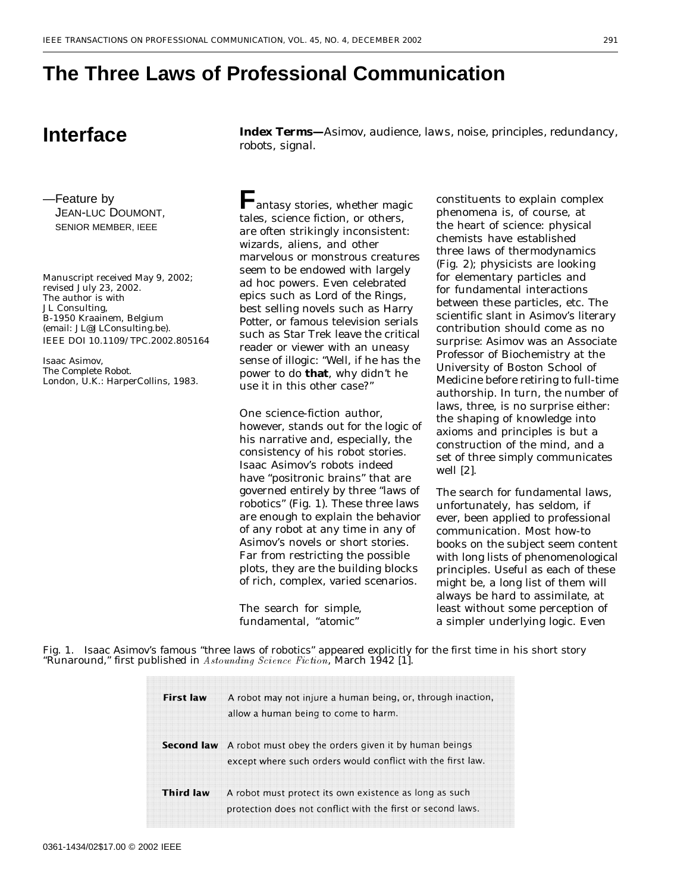# **The Three Laws of Professional Communication**

—Feature by JEAN-LUC DOUMONT, SENIOR MEMBER, IEEE

Manuscript received May 9, 2002; revised July 23, 2002. The author is with JL Consulting, B-1950 Kraainem, Belgium (email: JL@JLConsulting.be). IEEE DOI 10.1109/TPC.2002.805164

Isaac Asimov, *The Complete Robot.* London, U.K.: HarperCollins, 1983.

**Interface** *Index Terms—Asimov, audience, laws, noise, principles, redundancy, robots, signal.*

> **F**antasy stories, whether magic tales, science fiction, or others, are often strikingly inconsistent: wizards, aliens, and other marvelous or monstrous creatures seem to be endowed with largely ad hoc powers. Even celebrated epics such as *Lord of the Rings*, best selling novels such as *Harry Potter*, or famous television serials such as *Star Trek* leave the critical reader or viewer with an uneasy sense of illogic: "Well, if he has the power to do **that**, why didn't he use it in this other case?"

One science-fiction author, however, stands out for the logic of his narrative and, especially, the consistency of his robot stories. Isaac Asimov's robots indeed have "positronic brains" that are governed entirely by three "laws of robotics" (Fig. 1). These three laws are enough to explain the behavior of any robot at any time in any of Asimov's novels or short stories. Far from restricting the possible plots, they are the building blocks of rich, complex, varied scenarios.

The search for simple, fundamental, "atomic"

constituents to explain complex phenomena is, of course, at the heart of science: physical chemists have established three laws of thermodynamics (Fig. 2); physicists are looking for elementary particles and for fundamental interactions between these particles, etc. The scientific slant in Asimov's literary contribution should come as no surprise: Asimov was an Associate Professor of Biochemistry at the University of Boston School of Medicine before retiring to full-time authorship. In turn, the number of laws, three, is no surprise either: the shaping of knowledge into axioms and principles is but a construction of the mind, and a set of three simply communicates well [2].

The search for fundamental laws, unfortunately, has seldom, if ever, been applied to professional communication. Most how-to books on the subject seem content with long lists of phenomenological principles. Useful as each of these might be, a long list of them will always be hard to assimilate, at least without some perception of a simpler underlying logic. Even

Fig. 1. Isaac Asimov's famous "three laws of robotics" appeared explicitly for the first time in his short story "Runaround," first published in  $A$ stounding Science Fiction, March 1942 [1].

| First law        | A robot may not injure a human being, or, through inaction,<br>allow a human being to come to harm.                                    |
|------------------|----------------------------------------------------------------------------------------------------------------------------------------|
|                  | <b>Second law</b> A robot must obey the orders given it by human beings<br>except where such orders would conflict with the first law. |
| <b>Third law</b> | A robot must protect its own existence as long as such<br>protection does not conflict with the first or second laws.                  |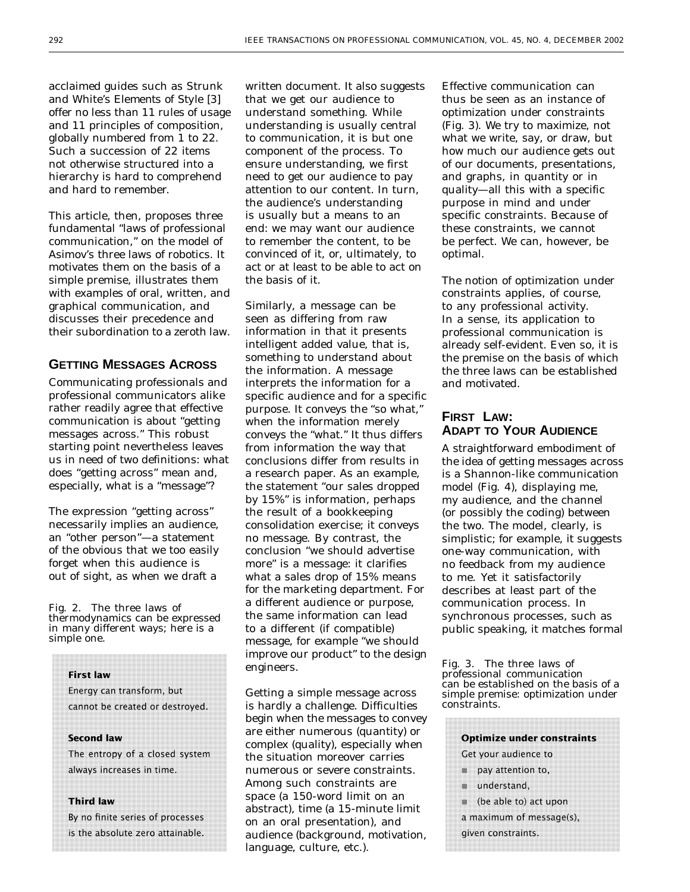acclaimed guides such as Strunk and White's *Elements of Style* [3] offer no less than 11 rules of usage and 11 principles of composition, globally numbered from 1 to 22. Such a succession of 22 items not otherwise structured into a hierarchy is hard to comprehend and hard to remember.

This article, then, proposes three fundamental "laws of professional communication," on the model of Asimov's three laws of robotics. It motivates them on the basis of a simple premise, illustrates them with examples of oral, written, and graphical communication, and discusses their precedence and their subordination to a zeroth law.

# **GETTING MESSAGES ACROSS**

Communicating professionals and professional communicators alike rather readily agree that effective communication is about "getting messages across." This robust starting point nevertheless leaves us in need of two definitions: what does "getting across" mean and, especially, what is a "message"?

The expression "getting across" necessarily implies an audience, an "other person"—a statement of the obvious that we too easily forget when this audience is out of sight, as when we draft a

Fig. 2. The three laws of thermodynamics can be expressed in many different ways; here is a simple one.

# **First law** Energy can transform, but cannot be created or destroyed. **Second law** The entropy of a closed system always increases in time. **Third law** By no finite series of processes is the absolute zero attainable.

written document. It also suggests that we get our audience to understand something. While understanding is usually central to communication, it is but one component of the process. To ensure understanding, we first need to get our audience to pay attention to our content. In turn, the audience's understanding is usually but a means to an end: we may want our audience to remember the content, to be convinced of it, or, ultimately, to act or at least to be able to act on the basis of it.

Similarly, a message can be seen as differing from raw information in that it presents intelligent added value, that is, something to understand about the information. A message interprets the information for a specific audience and for a specific purpose. It conveys the "so what," when the information merely conveys the "what." It thus differs from information the way that conclusions differ from results in a research paper. As an example, the statement "our sales dropped by 15%" is information, perhaps the result of a bookkeeping consolidation exercise; it conveys no message. By contrast, the conclusion "we should advertise more" is a message: it clarifies what a sales drop of 15% means for the marketing department. For a different audience or purpose, the same information can lead to a different (if compatible) message, for example "we should improve our product" to the design engineers.

Getting a simple message across is hardly a challenge. Difficulties begin when the messages to convey are either numerous (quantity) or complex (quality), especially when the situation moreover carries numerous or severe constraints. Among such constraints are space (a 150-word limit on an abstract), time (a 15-minute limit on an oral presentation), and audience (background, motivation, language, culture, etc.).

Effective communication can thus be seen as an instance of optimization under constraints (Fig. 3). We try to maximize, not what we write, say, or draw, but how much our audience gets out of our documents, presentations, and graphs, in quantity or in quality—all this with a specific purpose in mind and under specific constraints. Because of these constraints, we cannot be perfect. We can, however, be optimal.

The notion of optimization under constraints applies, of course, to any professional activity. In a sense, its application to professional communication is already self-evident. Even so, it is the premise on the basis of which the three laws can be established and motivated.

# **FIRST LAW: ADAPT TO YOUR AUDIENCE**

A straightforward embodiment of the idea of getting messages across is a Shannon-like communication model (Fig. 4), displaying me, my audience, and the channel (or possibly the coding) between the two. The model, clearly, is simplistic; for example, it suggests one-way communication, with no feedback from my audience to me. Yet it satisfactorily describes at least part of the communication process. In synchronous processes, such as public speaking, it matches formal

Fig. 3. The three laws of professional communication can be established on the basis of a simple premise: optimization under constraints.

#### **Optimize under constraints**

Get your audience to

- pay attention to, ₩
- understand. m.
- ﯩ (be able to) act upon
- a maximum of message(s),
- given constraints.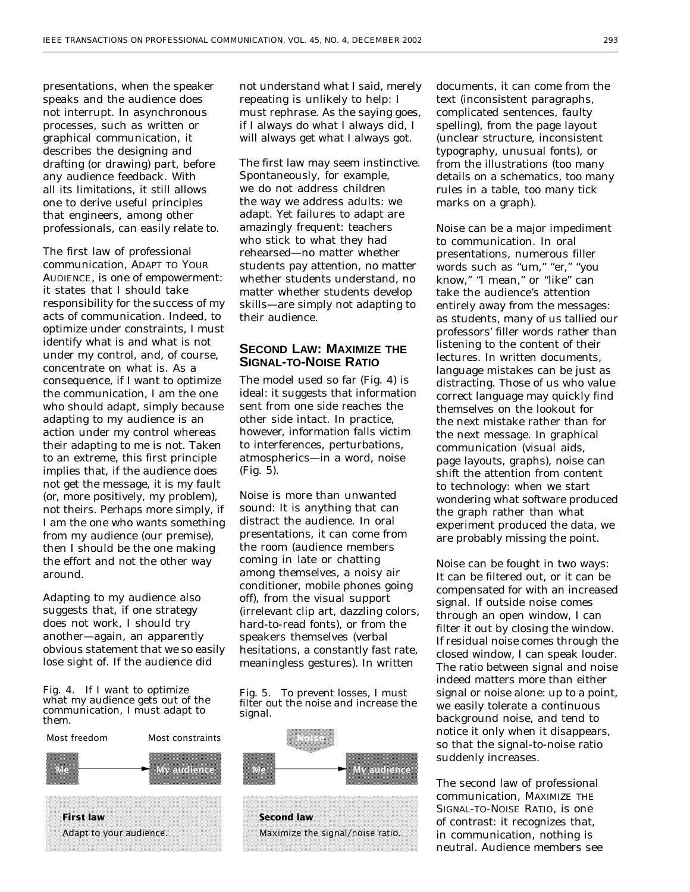presentations, when the speaker speaks and the audience does not interrupt. In asynchronous processes, such as written or graphical communication, it describes the designing and drafting (or drawing) part, before any audience feedback. With all its limitations, it still allows one to derive useful principles that engineers, among other professionals, can easily relate to.

The first law of professional communication, ADAPT TO YOUR AUDIENCE, is one of empowerment: it states that I should take responsibility for the success of my acts of communication. Indeed, to optimize under constraints, I must identify what is and what is not under my control, and, of course, concentrate on what is. As a consequence, if I want to optimize the communication, I am the one who should adapt, simply because adapting to my audience is an action under my control whereas their adapting to me is not. Taken to an extreme, this first principle implies that, if the audience does not get the message, it is my fault (or, more positively, my problem), not theirs. Perhaps more simply, if I am the one who wants something from my audience (our premise), then I should be the one making the effort and not the other way around.

Adapting to my audience also suggests that, if one strategy does not work, I should try another—again, an apparently obvious statement that we so easily lose sight of. If the audience did

Fig. 4. If I want to optimize what my audience gets out of the communication, I must adapt to them.



not understand what I said, merely repeating is unlikely to help: I must rephrase. As the saying goes, if I always do what I always did, I will always get what I always got.

The first law may seem instinctive. Spontaneously, for example, we do not address children the way we address adults: we adapt. Yet failures to adapt are amazingly frequent: teachers who stick to what they had rehearsed—no matter whether students pay attention, no matter whether students understand, no matter whether students develop skills—are simply not adapting to their audience.

## **SECOND LAW: MAXIMIZE THE SIGNAL-TO-NOISE RATIO**

The model used so far (Fig. 4) is ideal: it suggests that information sent from one side reaches the other side intact. In practice, however, information falls victim to interferences, perturbations, atmospherics—in a word, noise (Fig. 5).

Noise is more than unwanted sound: It is anything that can distract the audience. In oral presentations, it can come from the room (audience members coming in late or chatting among themselves, a noisy air conditioner, mobile phones going off), from the visual support (irrelevant clip art, dazzling colors, hard-to-read fonts), or from the speakers themselves (verbal hesitations, a constantly fast rate, meaningless gestures). In written

Fig. 5. To prevent losses, I must filter out the noise and increase the signal.



documents, it can come from the text (inconsistent paragraphs, complicated sentences, faulty spelling), from the page layout (unclear structure, inconsistent typography, unusual fonts), or from the illustrations (too many details on a schematics, too many rules in a table, too many tick marks on a graph).

Noise can be a major impediment to communication. In oral presentations, numerous filler words such as "um," "er," "you know," "I mean," or "like" can take the audience's attention entirely away from the messages: as students, many of us tallied our professors' filler words rather than listening to the content of their lectures. In written documents, language mistakes can be just as distracting. Those of us who value correct language may quickly find themselves on the lookout for the next mistake rather than for the next message. In graphical communication (visual aids, page layouts, graphs), noise can shift the attention from content to technology: when we start wondering what software produced the graph rather than what experiment produced the data, we are probably missing the point.

Noise can be fought in two ways: It can be filtered out, or it can be compensated for with an increased signal. If outside noise comes through an open window, I can filter it out by closing the window. If residual noise comes through the closed window, I can speak louder. The ratio between signal and noise indeed matters more than either signal or noise alone: up to a point, we easily tolerate a continuous background noise, and tend to notice it only when it disappears, so that the signal-to-noise ratio suddenly increases.

The second law of professional communication, MAXIMIZE THE SIGNAL-TO-NOISE RATIO, is one of contrast: it recognizes that, in communication, nothing is neutral. Audience members see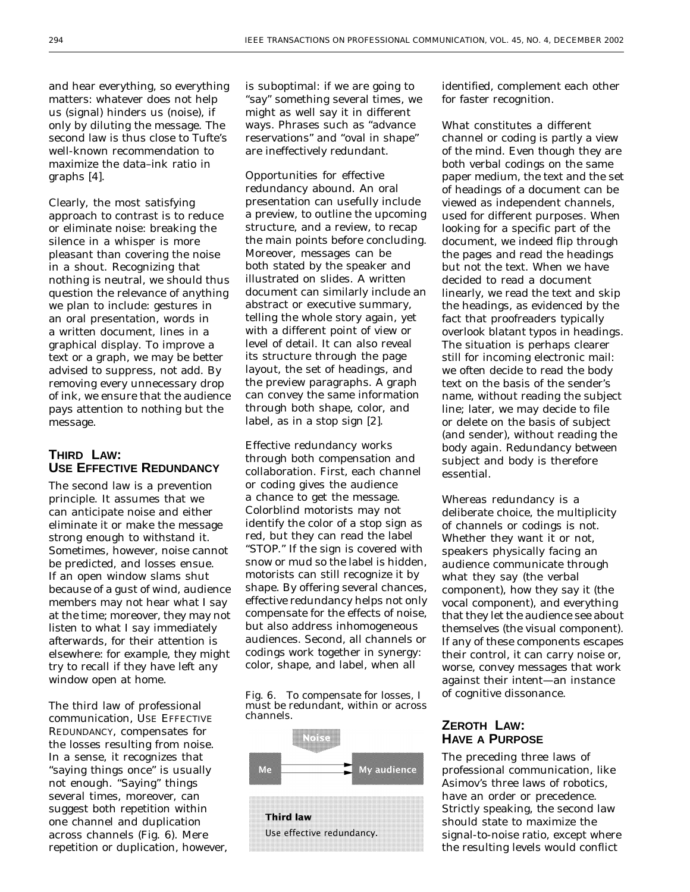and hear everything, so everything matters: whatever does not help us (signal) hinders us (noise), if only by diluting the message. The second law is thus close to Tufte's well-known recommendation to maximize the data–ink ratio in graphs [4].

Clearly, the most satisfying approach to contrast is to reduce or eliminate noise: breaking the silence in a whisper is more pleasant than covering the noise in a shout. Recognizing that nothing is neutral, we should thus question the relevance of anything we plan to include: gestures in an oral presentation, words in a written document, lines in a graphical display. To improve a text or a graph, we may be better advised to suppress, not add. By removing every unnecessary drop of ink, we ensure that the audience pays attention to nothing but the message.

## **THIRD LAW: USE EFFECTIVE REDUNDANCY**

The second law is a prevention principle. It assumes that we can anticipate noise and either eliminate it or make the message strong enough to withstand it. Sometimes, however, noise cannot be predicted, and losses ensue. If an open window slams shut because of a gust of wind, audience members may not hear what I say at the time; moreover, they may not listen to what I say immediately afterwards, for their attention is elsewhere: for example, they might try to recall if they have left any window open at home.

The third law of professional communication, USE EFFECTIVE REDUNDANCY, compensates for the losses resulting from noise. In a sense, it recognizes that "saying things once" is usually not enough. "Saying" things several times, moreover, can suggest both repetition within one channel and duplication across channels (Fig. 6). Mere repetition or duplication, however, is suboptimal: if we are going to "say" something several times, we might as well say it in different ways. Phrases such as "advance reservations" and "oval in shape" are ineffectively redundant.

Opportunities for effective redundancy abound. An oral presentation can usefully include a preview, to outline the upcoming structure, and a review, to recap the main points before concluding. Moreover, messages can be both stated by the speaker and illustrated on slides. A written document can similarly include an abstract or executive summary, telling the whole story again, yet with a different point of view or level of detail. It can also reveal its structure through the page layout, the set of headings, and the preview paragraphs. A graph can convey the same information through both shape, color, and label, as in a stop sign [2].

Effective redundancy works through both compensation and collaboration. First, each channel or coding gives the audience a chance to get the message. Colorblind motorists may not identify the color of a stop sign as red, but they can read the label "STOP." If the sign is covered with snow or mud so the label is hidden, motorists can still recognize it by shape. By offering several chances, effective redundancy helps not only compensate for the effects of noise, but also address inhomogeneous audiences. Second, all channels or codings work together in synergy: color, shape, and label, when all

Fig. 6. To compensate for losses, I must be redundant, within or across channels.



identified, complement each other for faster recognition.

What constitutes a different channel or coding is partly a view of the mind. Even though they are both verbal codings on the same paper medium, the text and the set of headings of a document can be viewed as independent channels, used for different purposes. When looking for a specific part of the document, we indeed flip through the pages and read the headings but not the text. When we have decided to read a document linearly, we read the text and skip the headings, as evidenced by the fact that proofreaders typically overlook blatant typos in headings. The situation is perhaps clearer still for incoming electronic mail: we often decide to read the body text on the basis of the sender's name, without reading the subject line; later, we may decide to file or delete on the basis of subject (and sender), without reading the body again. Redundancy between subject and body is therefore essential.

Whereas redundancy is a deliberate choice, the multiplicity of channels or codings is not. Whether they want it or not, speakers physically facing an audience communicate through what they say (the verbal component), how they say it (the vocal component), and everything that they let the audience see about themselves (the visual component). If any of these components escapes their control, it can carry noise or, worse, convey messages that work against their intent—an instance of cognitive dissonance.

## **ZEROTH LAW: HAVE A PURPOSE**

The preceding three laws of professional communication, like Asimov's three laws of robotics, have an order or precedence. Strictly speaking, the second law should state to maximize the signal-to-noise ratio, except where the resulting levels would conflict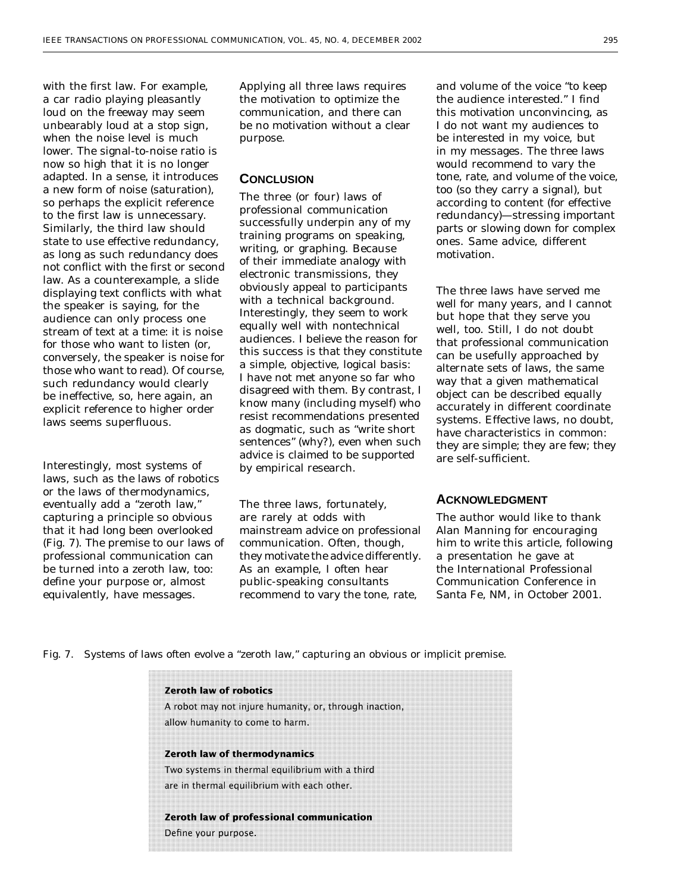with the first law. For example, a car radio playing pleasantly loud on the freeway may seem unbearably loud at a stop sign, when the noise level is much lower. The signal-to-noise ratio is now so high that it is no longer adapted. In a sense, it introduces a new form of noise (saturation), so perhaps the explicit reference to the first law is unnecessary. Similarly, the third law should state to use effective redundancy, as long as such redundancy does not conflict with the first or second law. As a counterexample, a slide displaying text conflicts with what the speaker is saying, for the audience can only process one stream of text at a time: it is noise for those who want to listen (or, conversely, the speaker is noise for those who want to read). Of course, such redundancy would clearly be ineffective, so, here again, an explicit reference to higher order laws seems superfluous.

Interestingly, most systems of laws, such as the laws of robotics or the laws of thermodynamics, eventually add a "zeroth law," capturing a principle so obvious that it had long been overlooked (Fig. 7). The premise to our laws of professional communication can be turned into a zeroth law, too: define your purpose or, almost equivalently, have messages.

Applying all three laws requires the motivation to optimize the communication, and there can be no motivation without a clear purpose.

#### **CONCLUSION**

The three (or four) laws of professional communication successfully underpin any of my training programs on speaking, writing, or graphing. Because of their immediate analogy with electronic transmissions, they obviously appeal to participants with a technical background. Interestingly, they seem to work equally well with nontechnical audiences. I believe the reason for this success is that they constitute a simple, objective, logical basis: I have not met anyone so far who disagreed with them. By contrast, I know many (including myself) who resist recommendations presented as dogmatic, such as "write short sentences" (why?), even when such advice is claimed to be supported by empirical research.

The three laws, fortunately, are rarely at odds with mainstream advice on professional communication. Often, though, they motivate the advice differently. As an example, I often hear public-speaking consultants recommend to vary the tone, rate,

and volume of the voice "to keep the audience interested." I find this motivation unconvincing, as I do not want my audiences to be interested in my voice, but in my messages. The three laws would recommend to vary the tone, rate, and volume of the voice, too (so they carry a signal), but according to content (for effective redundancy)—stressing important parts or slowing down for complex ones. Same advice, different motivation.

The three laws have served me well for many years, and I cannot but hope that they serve you well, too. Still, I do not doubt that professional communication can be usefully approached by alternate sets of laws, the same way that a given mathematical object can be described equally accurately in different coordinate systems. Effective laws, no doubt, have characteristics in common: they are simple; they are few; they are self-sufficient.

#### **ACKNOWLEDGMENT**

The author would like to thank Alan Manning for encouraging him to write this article, following a presentation he gave at the International Professional Communication Conference in Santa Fe, NM, in October 2001.

Fig. 7. Systems of laws often evolve a "zeroth law," capturing an obvious or implicit premise.